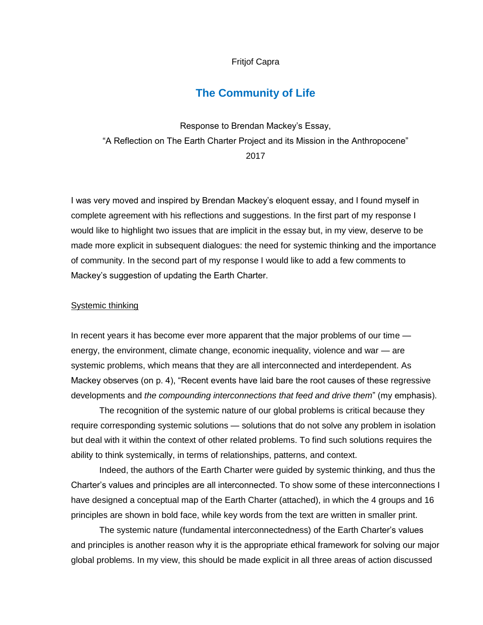### Fritjof Capra

# **The Community of Life**

Response to Brendan Mackey's Essay, "A Reflection on The Earth Charter Project and its Mission in the Anthropocene" 2017

I was very moved and inspired by Brendan Mackey's eloquent essay, and I found myself in complete agreement with his reflections and suggestions. In the first part of my response I would like to highlight two issues that are implicit in the essay but, in my view, deserve to be made more explicit in subsequent dialogues: the need for systemic thinking and the importance of community. In the second part of my response I would like to add a few comments to Mackey's suggestion of updating the Earth Charter.

## Systemic thinking

In recent years it has become ever more apparent that the major problems of our time energy, the environment, climate change, economic inequality, violence and war — are systemic problems, which means that they are all interconnected and interdependent. As Mackey observes (on p. 4), "Recent events have laid bare the root causes of these regressive developments and *the compounding interconnections that feed and drive them*" (my emphasis).

The recognition of the systemic nature of our global problems is critical because they require corresponding systemic solutions — solutions that do not solve any problem in isolation but deal with it within the context of other related problems. To find such solutions requires the ability to think systemically, in terms of relationships, patterns, and context.

Indeed, the authors of the Earth Charter were guided by systemic thinking, and thus the Charter's values and principles are all interconnected. To show some of these interconnections I have designed a conceptual map of the Earth Charter (attached), in which the 4 groups and 16 principles are shown in bold face, while key words from the text are written in smaller print.

The systemic nature (fundamental interconnectedness) of the Earth Charter's values and principles is another reason why it is the appropriate ethical framework for solving our major global problems. In my view, this should be made explicit in all three areas of action discussed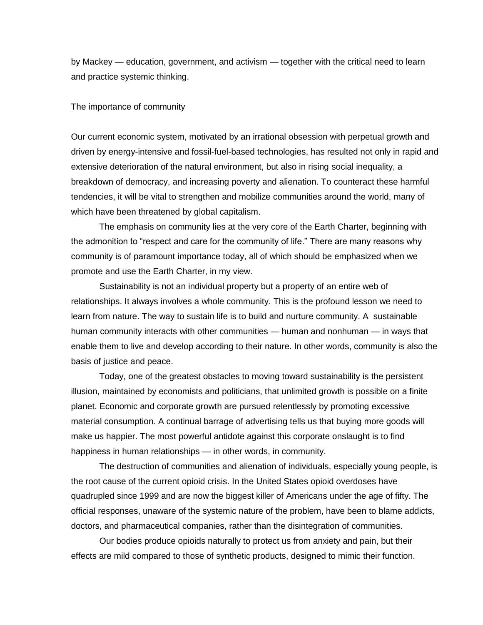by Mackey — education, government, and activism — together with the critical need to learn and practice systemic thinking.

#### The importance of community

Our current economic system, motivated by an irrational obsession with perpetual growth and driven by energy-intensive and fossil-fuel-based technologies, has resulted not only in rapid and extensive deterioration of the natural environment, but also in rising social inequality, a breakdown of democracy, and increasing poverty and alienation. To counteract these harmful tendencies, it will be vital to strengthen and mobilize communities around the world, many of which have been threatened by global capitalism.

The emphasis on community lies at the very core of the Earth Charter, beginning with the admonition to "respect and care for the community of life." There are many reasons why community is of paramount importance today, all of which should be emphasized when we promote and use the Earth Charter, in my view.

Sustainability is not an individual property but a property of an entire web of relationships. It always involves a whole community. This is the profound lesson we need to learn from nature. The way to sustain life is to build and nurture community. A sustainable human community interacts with other communities — human and nonhuman — in ways that enable them to live and develop according to their nature. In other words, community is also the basis of justice and peace.

Today, one of the greatest obstacles to moving toward sustainability is the persistent illusion, maintained by economists and politicians, that unlimited growth is possible on a finite planet. Economic and corporate growth are pursued relentlessly by promoting excessive material consumption. A continual barrage of advertising tells us that buying more goods will make us happier. The most powerful antidote against this corporate onslaught is to find happiness in human relationships — in other words, in community.

The destruction of communities and alienation of individuals, especially young people, is the root cause of the current opioid crisis. In the United States opioid overdoses have quadrupled since 1999 and are now the biggest killer of Americans under the age of fifty. The official responses, unaware of the systemic nature of the problem, have been to blame addicts, doctors, and pharmaceutical companies, rather than the disintegration of communities.

Our bodies produce opioids naturally to protect us from anxiety and pain, but their effects are mild compared to those of synthetic products, designed to mimic their function.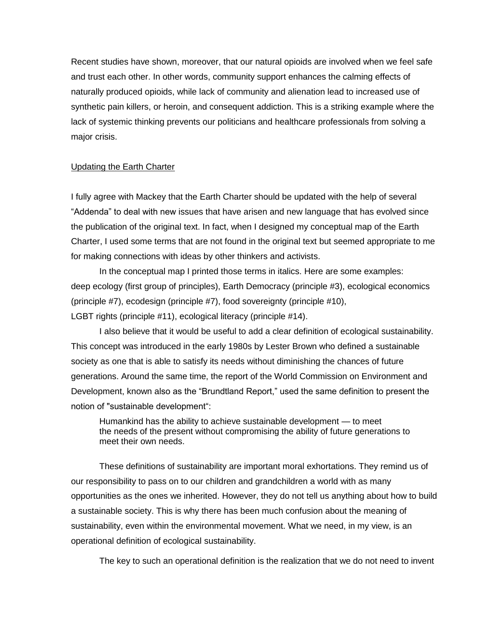Recent studies have shown, moreover, that our natural opioids are involved when we feel safe and trust each other. In other words, community support enhances the calming effects of naturally produced opioids, while lack of community and alienation lead to increased use of synthetic pain killers, or heroin, and consequent addiction. This is a striking example where the lack of systemic thinking prevents our politicians and healthcare professionals from solving a major crisis.

## Updating the Earth Charter

I fully agree with Mackey that the Earth Charter should be updated with the help of several "Addenda" to deal with new issues that have arisen and new language that has evolved since the publication of the original text. In fact, when I designed my conceptual map of the Earth Charter, I used some terms that are not found in the original text but seemed appropriate to me for making connections with ideas by other thinkers and activists.

In the conceptual map I printed those terms in italics. Here are some examples: deep ecology (first group of principles), Earth Democracy (principle #3), ecological economics (principle #7), ecodesign (principle #7), food sovereignty (principle #10), LGBT rights (principle #11), ecological literacy (principle #14).

I also believe that it would be useful to add a clear definition of ecological sustainability. This concept was introduced in the early 1980s by Lester Brown who defined a sustainable society as one that is able to satisfy its needs without diminishing the chances of future generations. Around the same time, the report of the World Commission on Environment and Development, known also as the "Brundtland Report," used the same definition to present the notion of "sustainable development":

Humankind has the ability to achieve sustainable development — to meet the needs of the present without compromising the ability of future generations to meet their own needs.

These definitions of sustainability are important moral exhortations. They remind us of our responsibility to pass on to our children and grandchildren a world with as many opportunities as the ones we inherited. However, they do not tell us anything about how to build a sustainable society. This is why there has been much confusion about the meaning of sustainability, even within the environmental movement. What we need, in my view, is an operational definition of ecological sustainability.

The key to such an operational definition is the realization that we do not need to invent